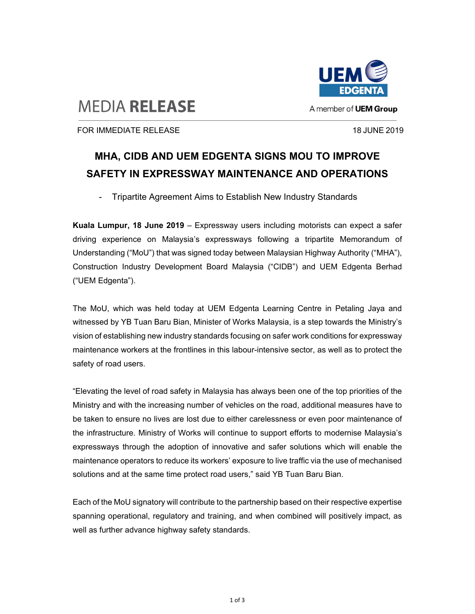

## **MEDIA RELEASE**

FOR IMMEDIATE RELEASE 18 JUNE 2019

## **MHA, CIDB AND UEM EDGENTA SIGNS MOU TO IMPROVE SAFETY IN EXPRESSWAY MAINTENANCE AND OPERATIONS**

Tripartite Agreement Aims to Establish New Industry Standards

**Kuala Lumpur, 18 June 2019** – Expressway users including motorists can expect a safer driving experience on Malaysia's expressways following a tripartite Memorandum of Understanding ("MoU") that was signed today between Malaysian Highway Authority ("MHA"), Construction Industry Development Board Malaysia ("CIDB") and UEM Edgenta Berhad ("UEM Edgenta").

The MoU, which was held today at UEM Edgenta Learning Centre in Petaling Jaya and witnessed by YB Tuan Baru Bian, Minister of Works Malaysia, is a step towards the Ministry's vision of establishing new industry standards focusing on safer work conditions for expressway maintenance workers at the frontlines in this labour-intensive sector, as well as to protect the safety of road users.

"Elevating the level of road safety in Malaysia has always been one of the top priorities of the Ministry and with the increasing number of vehicles on the road, additional measures have to be taken to ensure no lives are lost due to either carelessness or even poor maintenance of the infrastructure. Ministry of Works will continue to support efforts to modernise Malaysia's expressways through the adoption of innovative and safer solutions which will enable the maintenance operators to reduce its workers' exposure to live traffic via the use of mechanised solutions and at the same time protect road users," said YB Tuan Baru Bian.

Each of the MoU signatory will contribute to the partnership based on their respective expertise spanning operational, regulatory and training, and when combined will positively impact, as well as further advance highway safety standards.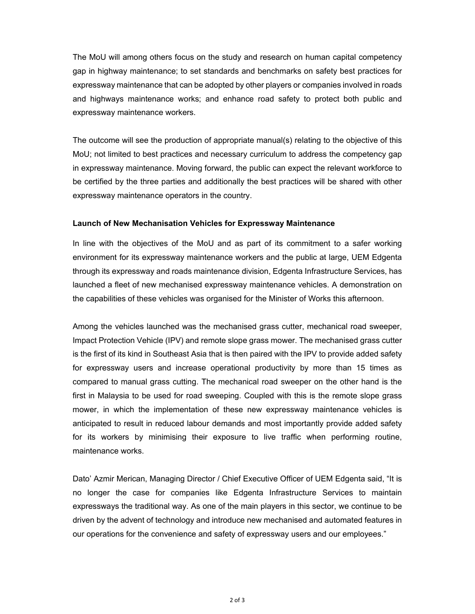The MoU will among others focus on the study and research on human capital competency gap in highway maintenance; to set standards and benchmarks on safety best practices for expressway maintenance that can be adopted by other players or companies involved in roads and highways maintenance works; and enhance road safety to protect both public and expressway maintenance workers.

The outcome will see the production of appropriate manual(s) relating to the objective of this MoU; not limited to best practices and necessary curriculum to address the competency gap in expressway maintenance. Moving forward, the public can expect the relevant workforce to be certified by the three parties and additionally the best practices will be shared with other expressway maintenance operators in the country.

## **Launch of New Mechanisation Vehicles for Expressway Maintenance**

In line with the objectives of the MoU and as part of its commitment to a safer working environment for its expressway maintenance workers and the public at large, UEM Edgenta through its expressway and roads maintenance division, Edgenta Infrastructure Services, has launched a fleet of new mechanised expressway maintenance vehicles. A demonstration on the capabilities of these vehicles was organised for the Minister of Works this afternoon.

Among the vehicles launched was the mechanised grass cutter, mechanical road sweeper, Impact Protection Vehicle (IPV) and remote slope grass mower. The mechanised grass cutter is the first of its kind in Southeast Asia that is then paired with the IPV to provide added safety for expressway users and increase operational productivity by more than 15 times as compared to manual grass cutting. The mechanical road sweeper on the other hand is the first in Malaysia to be used for road sweeping. Coupled with this is the remote slope grass mower, in which the implementation of these new expressway maintenance vehicles is anticipated to result in reduced labour demands and most importantly provide added safety for its workers by minimising their exposure to live traffic when performing routine, maintenance works.

Dato' Azmir Merican, Managing Director / Chief Executive Officer of UEM Edgenta said, "It is no longer the case for companies like Edgenta Infrastructure Services to maintain expressways the traditional way. As one of the main players in this sector, we continue to be driven by the advent of technology and introduce new mechanised and automated features in our operations for the convenience and safety of expressway users and our employees."